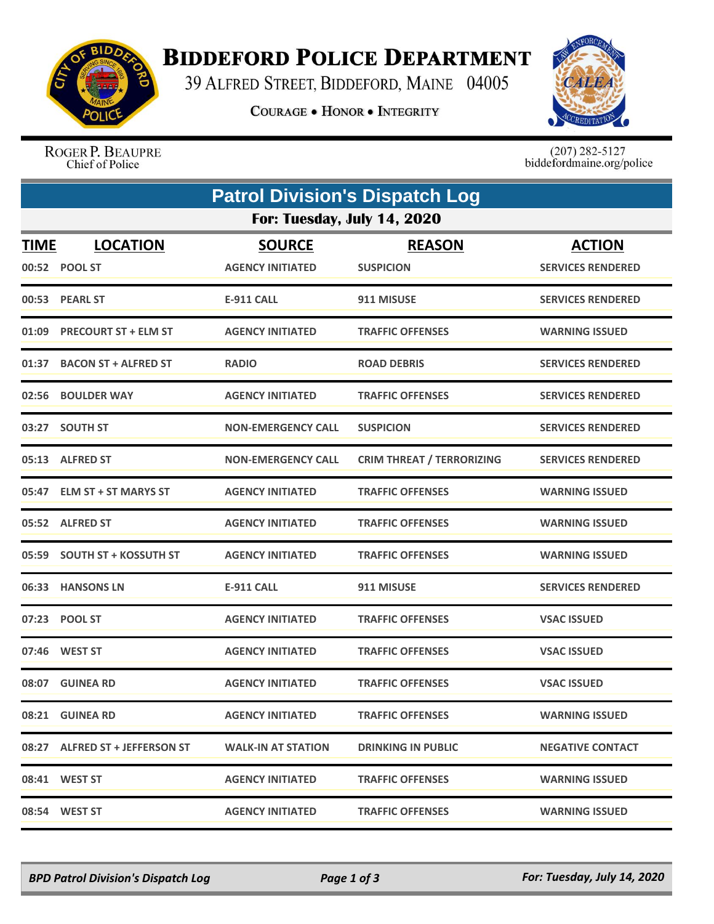

## **BIDDEFORD POLICE DEPARTMENT**

39 ALFRED STREET, BIDDEFORD, MAINE 04005

**COURAGE . HONOR . INTEGRITY** 



ROGER P. BEAUPRE Chief of Police

 $(207)$  282-5127<br>biddefordmaine.org/police

| <b>Patrol Division's Dispatch Log</b> |                                |                           |                                  |                          |  |  |  |  |
|---------------------------------------|--------------------------------|---------------------------|----------------------------------|--------------------------|--|--|--|--|
| For: Tuesday, July 14, 2020           |                                |                           |                                  |                          |  |  |  |  |
| <b>TIME</b>                           | <b>LOCATION</b>                | <b>SOURCE</b>             | <b>REASON</b>                    | <b>ACTION</b>            |  |  |  |  |
|                                       | 00:52 POOL ST                  | <b>AGENCY INITIATED</b>   | <b>SUSPICION</b>                 | <b>SERVICES RENDERED</b> |  |  |  |  |
|                                       | 00:53 PEARL ST                 | <b>E-911 CALL</b>         | 911 MISUSE                       | <b>SERVICES RENDERED</b> |  |  |  |  |
| 01:09                                 | <b>PRECOURT ST + ELM ST</b>    | <b>AGENCY INITIATED</b>   | <b>TRAFFIC OFFENSES</b>          | <b>WARNING ISSUED</b>    |  |  |  |  |
| 01:37                                 | <b>BACON ST + ALFRED ST</b>    | <b>RADIO</b>              | <b>ROAD DEBRIS</b>               | <b>SERVICES RENDERED</b> |  |  |  |  |
| 02:56                                 | <b>BOULDER WAY</b>             | <b>AGENCY INITIATED</b>   | <b>TRAFFIC OFFENSES</b>          | <b>SERVICES RENDERED</b> |  |  |  |  |
| 03:27                                 | <b>SOUTH ST</b>                | <b>NON-EMERGENCY CALL</b> | <b>SUSPICION</b>                 | <b>SERVICES RENDERED</b> |  |  |  |  |
|                                       | 05:13 ALFRED ST                | <b>NON-EMERGENCY CALL</b> | <b>CRIM THREAT / TERRORIZING</b> | <b>SERVICES RENDERED</b> |  |  |  |  |
| 05:47                                 | <b>ELM ST + ST MARYS ST</b>    | <b>AGENCY INITIATED</b>   | <b>TRAFFIC OFFENSES</b>          | <b>WARNING ISSUED</b>    |  |  |  |  |
|                                       | 05:52 ALFRED ST                | <b>AGENCY INITIATED</b>   | <b>TRAFFIC OFFENSES</b>          | <b>WARNING ISSUED</b>    |  |  |  |  |
|                                       | 05:59 SOUTH ST + KOSSUTH ST    | <b>AGENCY INITIATED</b>   | <b>TRAFFIC OFFENSES</b>          | <b>WARNING ISSUED</b>    |  |  |  |  |
|                                       | 06:33 HANSONS LN               | <b>E-911 CALL</b>         | 911 MISUSE                       | <b>SERVICES RENDERED</b> |  |  |  |  |
|                                       | 07:23 POOL ST                  | <b>AGENCY INITIATED</b>   | <b>TRAFFIC OFFENSES</b>          | <b>VSAC ISSUED</b>       |  |  |  |  |
|                                       | 07:46 WEST ST                  | <b>AGENCY INITIATED</b>   | <b>TRAFFIC OFFENSES</b>          | <b>VSAC ISSUED</b>       |  |  |  |  |
| 08:07                                 | <b>GUINEA RD</b>               | <b>AGENCY INITIATED</b>   | <b>TRAFFIC OFFENSES</b>          | <b>VSAC ISSUED</b>       |  |  |  |  |
|                                       | 08:21 GUINEA RD                | <b>AGENCY INITIATED</b>   | <b>TRAFFIC OFFENSES</b>          | <b>WARNING ISSUED</b>    |  |  |  |  |
|                                       | 08:27 ALFRED ST + JEFFERSON ST | <b>WALK-IN AT STATION</b> | <b>DRINKING IN PUBLIC</b>        | <b>NEGATIVE CONTACT</b>  |  |  |  |  |
|                                       | 08:41 WEST ST                  | <b>AGENCY INITIATED</b>   | <b>TRAFFIC OFFENSES</b>          | <b>WARNING ISSUED</b>    |  |  |  |  |
|                                       | 08:54 WEST ST                  | <b>AGENCY INITIATED</b>   | <b>TRAFFIC OFFENSES</b>          | <b>WARNING ISSUED</b>    |  |  |  |  |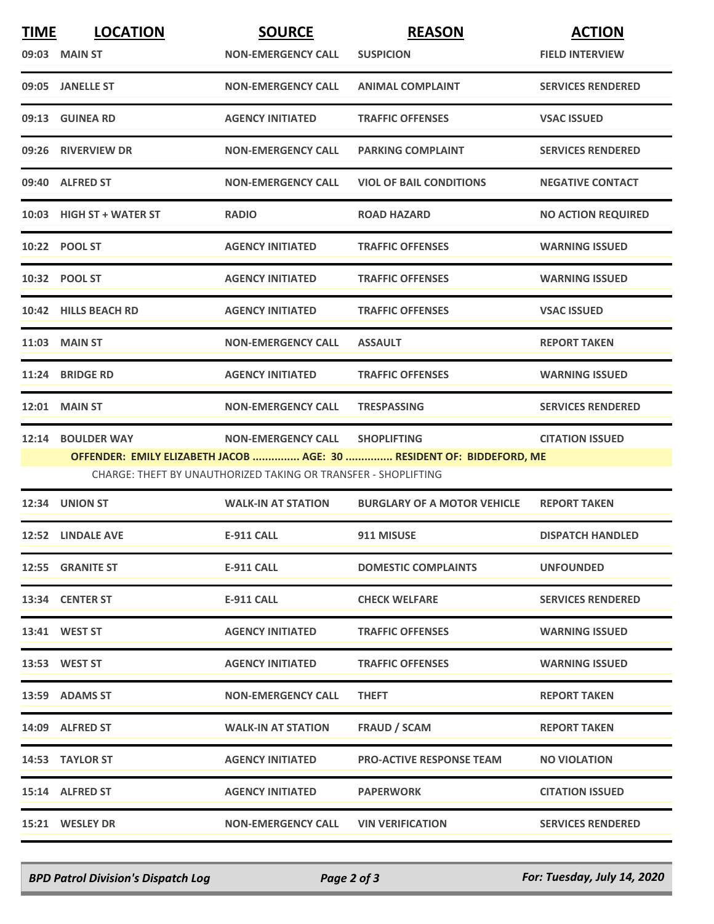| <b>TIME</b> | <b>LOCATION</b>          | <b>SOURCE</b>                                                  | <b>REASON</b>                                                        | <b>ACTION</b>             |
|-------------|--------------------------|----------------------------------------------------------------|----------------------------------------------------------------------|---------------------------|
|             | 09:03 MAIN ST            | <b>NON-EMERGENCY CALL</b>                                      | <b>SUSPICION</b>                                                     | <b>FIELD INTERVIEW</b>    |
|             | 09:05 JANELLE ST         | <b>NON-EMERGENCY CALL</b>                                      | <b>ANIMAL COMPLAINT</b>                                              | <b>SERVICES RENDERED</b>  |
|             | 09:13 GUINEA RD          | <b>AGENCY INITIATED</b>                                        | <b>TRAFFIC OFFENSES</b>                                              | <b>VSAC ISSUED</b>        |
| 09:26       | <b>RIVERVIEW DR</b>      | <b>NON-EMERGENCY CALL</b>                                      | <b>PARKING COMPLAINT</b>                                             | <b>SERVICES RENDERED</b>  |
|             | 09:40 ALFRED ST          | <b>NON-EMERGENCY CALL</b>                                      | <b>VIOL OF BAIL CONDITIONS</b>                                       | <b>NEGATIVE CONTACT</b>   |
|             | 10:03 HIGH ST + WATER ST | <b>RADIO</b>                                                   | <b>ROAD HAZARD</b>                                                   | <b>NO ACTION REQUIRED</b> |
|             | 10:22 POOL ST            | <b>AGENCY INITIATED</b>                                        | <b>TRAFFIC OFFENSES</b>                                              | <b>WARNING ISSUED</b>     |
|             | 10:32 POOL ST            | <b>AGENCY INITIATED</b>                                        | <b>TRAFFIC OFFENSES</b>                                              | <b>WARNING ISSUED</b>     |
|             | 10:42 HILLS BEACH RD     | <b>AGENCY INITIATED</b>                                        | <b>TRAFFIC OFFENSES</b>                                              | <b>VSAC ISSUED</b>        |
|             | 11:03 MAIN ST            | <b>NON-EMERGENCY CALL</b>                                      | <b>ASSAULT</b>                                                       | <b>REPORT TAKEN</b>       |
| 11:24       | <b>BRIDGE RD</b>         | <b>AGENCY INITIATED</b>                                        | <b>TRAFFIC OFFENSES</b>                                              | <b>WARNING ISSUED</b>     |
|             | <b>12:01 MAIN ST</b>     | <b>NON-EMERGENCY CALL</b>                                      | <b>TRESPASSING</b>                                                   | <b>SERVICES RENDERED</b>  |
|             | 12:14 BOULDER WAY        | <b>NON-EMERGENCY CALL</b>                                      | <b>SHOPLIFTING</b>                                                   | <b>CITATION ISSUED</b>    |
|             |                          | CHARGE: THEFT BY UNAUTHORIZED TAKING OR TRANSFER - SHOPLIFTING | OFFENDER: EMILY ELIZABETH JACOB  AGE: 30  RESIDENT OF: BIDDEFORD, ME |                           |
|             | 12:34 UNION ST           | <b>WALK-IN AT STATION</b>                                      | <b>BURGLARY OF A MOTOR VEHICLE</b>                                   | <b>REPORT TAKEN</b>       |
|             | 12:52 LINDALE AVE        | <b>E-911 CALL</b>                                              | 911 MISUSE                                                           | <b>DISPATCH HANDLED</b>   |
|             | 12:55 GRANITE ST         | <b>E-911 CALL</b>                                              | <b>DOMESTIC COMPLAINTS</b>                                           | <b>UNFOUNDED</b>          |
|             | 13:34 CENTER ST          | <b>E-911 CALL</b>                                              | <b>CHECK WELFARE</b>                                                 | <b>SERVICES RENDERED</b>  |
|             | 13:41 WEST ST            | <b>AGENCY INITIATED</b>                                        | <b>TRAFFIC OFFENSES</b>                                              | <b>WARNING ISSUED</b>     |
|             | 13:53 WEST ST            | <b>AGENCY INITIATED</b>                                        | <b>TRAFFIC OFFENSES</b>                                              | <b>WARNING ISSUED</b>     |
|             | 13:59 ADAMS ST           | <b>NON-EMERGENCY CALL</b>                                      | <b>THEFT</b>                                                         | <b>REPORT TAKEN</b>       |
|             | 14:09 ALFRED ST          | <b>WALK-IN AT STATION</b>                                      | FRAUD / SCAM                                                         | <b>REPORT TAKEN</b>       |
|             | 14:53 TAYLOR ST          | <b>AGENCY INITIATED</b>                                        | <b>PRO-ACTIVE RESPONSE TEAM</b>                                      | <b>NO VIOLATION</b>       |
|             | 15:14 ALFRED ST          | <b>AGENCY INITIATED</b>                                        | <b>PAPERWORK</b>                                                     | <b>CITATION ISSUED</b>    |
|             | 15:21 WESLEY DR          | <b>NON-EMERGENCY CALL</b>                                      | <b>VIN VERIFICATION</b>                                              | <b>SERVICES RENDERED</b>  |
|             |                          |                                                                |                                                                      |                           |

*BPD Patrol Division's Dispatch Log Page 2 of 3 For: Tuesday, July 14, 2020*